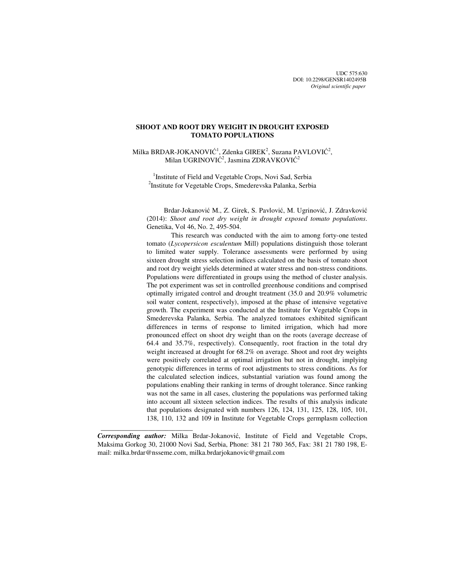UDC 575:630 DOI: 10.2298/GENSR1402495B *Original scientific paper*

# **SHOOT AND ROOT DRY WEIGHT IN DROUGHT EXPOSED TOMATO POPULATIONS**

Milka BRDAR-JOKANOVIĆ<sup>1</sup>, Zdenka GIREK<sup>2</sup>, Suzana PAVLOVIĆ<sup>2</sup>, Milan UGRINOVIĆ<sup>2</sup>, Jasmina ZDRAVKOVIĆ<sup>2</sup>

<sup>1</sup>Institute of Field and Vegetable Crops, Novi Sad, Serbia <sup>2</sup>Institute for Vegetable Crops, Smederevska Palanka, Serbia

 Brdar-Jokanović M., Z. Girek, S. Pavlović, M. Ugrinović, J. Zdravković (2014): *Shoot and root dry weight in drought exposed tomato populations*. Genetika, Vol 46, No. 2, 495-504.

This research was conducted with the aim to among forty-one tested tomato (*Lycopersicon esculentum* Mill) populations distinguish those tolerant to limited water supply. Tolerance assessments were performed by using sixteen drought stress selection indices calculated on the basis of tomato shoot and root dry weight yields determined at water stress and non-stress conditions. Populations were differentiated in groups using the method of cluster analysis. The pot experiment was set in controlled greenhouse conditions and comprised optimally irrigated control and drought treatment (35.0 and 20.9% volumetric soil water content, respectively), imposed at the phase of intensive vegetative growth. The experiment was conducted at the Institute for Vegetable Crops in Smederevska Palanka, Serbia. The analyzed tomatoes exhibited significant differences in terms of response to limited irrigation, which had more pronounced effect on shoot dry weight than on the roots (average decrease of 64.4 and 35.7%, respectively). Consequently, root fraction in the total dry weight increased at drought for 68.2% on average. Shoot and root dry weights were positively correlated at optimal irrigation but not in drought, implying genotypic differences in terms of root adjustments to stress conditions. As for the calculated selection indices, substantial variation was found among the populations enabling their ranking in terms of drought tolerance. Since ranking was not the same in all cases, clustering the populations was performed taking into account all sixteen selection indices. The results of this analysis indicate that populations designated with numbers 126, 124, 131, 125, 128, 105, 101, 138, 110, 132 and 109 in Institute for Vegetable Crops germplasm collection

 $\frac{1}{2}$  , and the set of the set of the set of the set of the set of the set of the set of the set of the set of the set of the set of the set of the set of the set of the set of the set of the set of the set of the set

*Corresponding author:* Milka Brdar-Jokanović, Institute of Field and Vegetable Crops, Maksima Gorkog 30, 21000 Novi Sad, Serbia, Phone: 381 21 780 365, Fax: 381 21 780 198, Email: milka.brdar@nsseme.com, milka.brdarjokanovic@gmail.com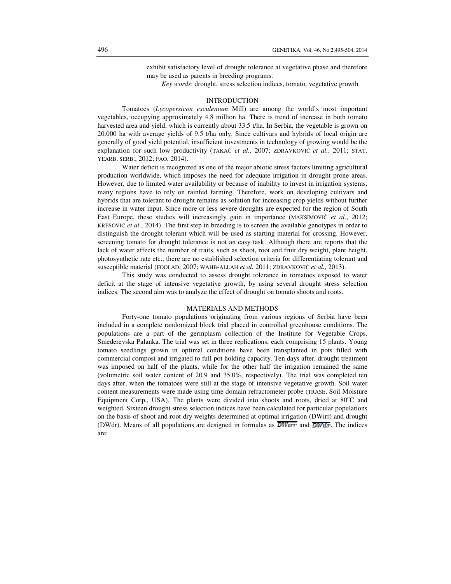exhibit satisfactory level of drought tolerance at vegetative phase and therefore may be used as parents in breeding programs.

 *Key words*: drought, stress selection indices, tomato, vegetative growth

### INTRODUCTION

Tomatoes (*Lycopersicon esculentum* Mill) are among the world's most important vegetables, occupying approximately 4.8 million ha. There is trend of increase in both tomato harvested area and yield, which is currently about 33.5 t/ha. In Serbia, the vegetable is grown on 20,000 ha with average yields of 9.5 t/ha only. Since cultivars and hybrids of local origin are generally of good yield potential, insufficient investments in technology of growing would be the explanation for such low productivity (TAKAČ *et al.*, 2007; ZDRAVKOVIĆ *et al.*, 2011; STAT. YEARB. SERB., 2012; FAO, 2014).

Water deficit is recognized as one of the major abiotic stress factors limiting agricultural production worldwide, which imposes the need for adequate irrigation in drought prone areas. However, due to limited water availability or because of inability to invest in irrigation systems, many regions have to rely on rainfed farming. Therefore, work on developing cultivars and hybrids that are tolerant to drought remains as solution for increasing crop yields without further increase in water input. Since more or less severe droughts are expected for the region of South East Europe, these studies will increasingly gain in importance (MAKSIMOVIĆ *et al.*, 2012; KRESOVIC *et al.*, 2014). The first step in breeding is to screen the available genotypes in order to distinguish the drought tolerant which will be used as starting material for crossing. However, screening tomato for drought tolerance is not an easy task. Although there are reports that the lack of water affects the number of traits, such as shoot, root and fruit dry weight, plant height, photosynthetic rate etc., there are no established selection criteria for differentiating tolerant and susceptible material (FOOLAD, 2007; WAHB-ALLAH *et al.* 2011; ZDRAVKOVIĆ *et al.*, 2013).

This study was conducted to assess drought tolerance in tomatoes exposed to water deficit at the stage of intensive vegetative growth, by using several drought stress selection indices. The second aim was to analyze the effect of drought on tomato shoots and roots.

## MATERIALS AND METHODS

Forty-one tomato populations originating from various regions of Serbia have been included in a complete randomized block trial placed in controlled greenhouse conditions. The populations are a part of the germplasm collection of the Institute for Vegetable Crops, Smederevska Palanka. The trial was set in three replications, each comprising 15 plants. Young tomato seedlings grown in optimal conditions have been transplanted in pots filled with commercial compost and irrigated to full pot holding capacity. Ten days after, drought treatment was imposed on half of the plants, while for the other half the irrigation remained the same (volumetric soil water content of 20.9 and 35.0%, respectively). The trial was completed ten days after, when the tomatoes were still at the stage of intensive vegetative growth. Soil water content measurements were made using time domain refractometer probe (TRASE, Soil Moisture Equipment Corp., USA). The plants were divided into shoots and roots, dried at  $80^{\circ}$ C and weighted. Sixteen drought stress selection indices have been calculated for particular populations on the basis of shoot and root dry weights determined at optimal irrigation (DWirr) and drought (DWdr). Means of all populations are designed in formulas as  $\overline{DW}$  and  $\overline{DW}$ . The indices are: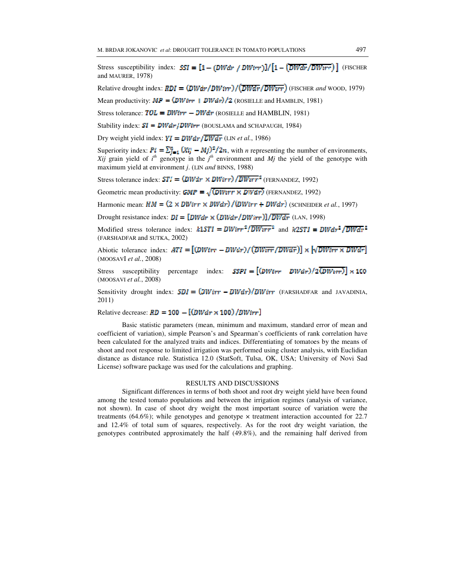Stress susceptibility index:  $SSI = [1 - (DWdr / DWirr)]/[1 - (DWdr / DWirr)]$  (FISCHER and MAURER, 1978)

Relative drought index:  $RDI = (DWdr/DWirr)/(\overline{DWdr}/\overline{DWrr})$  (FISCHER *and* WOOD, 1979)

Mean productivity:  $MP = (DW_{irr} + DW_{dr})/2$  (ROSIELLE and HAMBLIN, 1981)

Stress tolerance:  $TOL = DWirr - DWdr$  (ROSIELLE and HAMBLIN, 1981)

Stability index:  $SI = DWdr/DWirr$  (BOUSLAMA and SCHAPAUGH, 1984)

Dry weight yield index:  $VI = DWdr / \overline{DWdr}$  (LIN *et al.*, 1986)

Superiority index:  $Pi = \sum_{i=1}^{n} (Xij - Mj)^2/2n$ , with *n* representing the number of environments, Xij grain yield of  $i^h$  genotype in the  $j^h$  environment and Mj the yield of the genotype with maximum yield at environment *j*. (LIN *and* BINNS, 1988)

Stress tolerance index:  $STI = (DWdr \times DWirr) / \overline{DWrrr^2}$  (FERNANDEZ, 1992)

Geometric mean productivity: **GMP** =  $\sqrt{\left(DW_{irr} \times DW_{irr}\right)}$  (FERNANDEZ, 1992)

Harmonic mean:  $HM = (2 \times DWirr \times DWdr)/(DWirr + DWdr)$  (SCHNEIDER *et al.*, 1997)

Drought resistance index:  $DI = [DW_{dr} \times (DW_{dr}/DW_{irr})]/DW_{dr}$  (LAN, 1998)

Modified stress tolerance index:  $k1STI = DWirr^2/DWirr^2$  and  $k2STI = DWdr^2/DWdr^2$ (FARSHADFAR and SUTKA, 2002)

Abiotic tolerance index:  $ATI = [(DWirr - DWdr)/(DWirr / DWdr)] \times \sqrt{DWirr \times DWdr}]$ (MOOSAVI *et al.*, 2008)

 $SSPI = [(\text{DW}_{irr} \quad \text{DW}_{dr})/2(\text{DW}_{irr})] \times 100$ Stress susceptibility percentage index: (MOOSAVI *et al.*, 2008)

Sensitivity drought index:  $SDI = (DWirr - DWdr)/DWirr$  (FARSHADFAR and JAVADINIA, 2011)

Relative decrease:  $RD = 100 - [(DWdr \times 100)/DWirr]$ 

Basic statistic parameters (mean, minimum and maximum, standard error of mean and coefficient of variation), simple Pearson's and Spearman's coefficients of rank correlation have been calculated for the analyzed traits and indices. Differentiating of tomatoes by the means of shoot and root response to limited irrigation was performed using cluster analysis, with Euclidian distance as distance rule. Statistica 12.0 (StatSoft, Tulsa, OK, USA; University of Novi Sad License) software package was used for the calculations and graphing.

#### RESULTS AND DISCUSSIONS

Significant differences in terms of both shoot and root dry weight yield have been found among the tested tomato populations and between the irrigation regimes (analysis of variance, not shown). In case of shoot dry weight the most important source of variation were the treatments (64.6%); while genotypes and genotype  $\times$  treatment interaction accounted for 22.7 and 12.4% of total sum of squares, respectively. As for the root dry weight variation, the genotypes contributed approximately the half (49.8%), and the remaining half derived from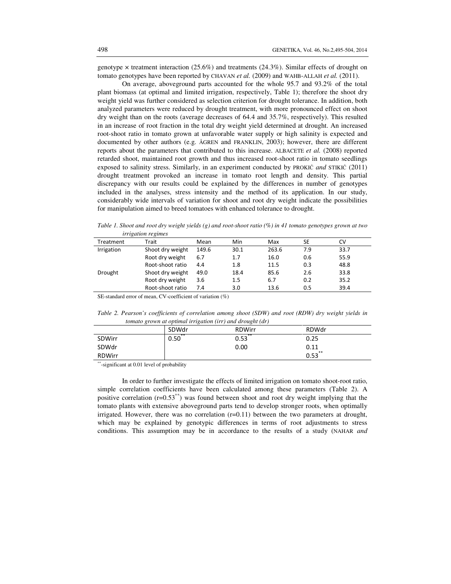genotype  $\times$  treatment interaction (25.6%) and treatments (24.3%). Similar effects of drought on tomato genotypes have been reported by CHAVAN *et al.* (2009) and WAHB-ALLAH *et al.* (2011).

On average, aboveground parts accounted for the whole 95.7 and 93.2% of the total plant biomass (at optimal and limited irrigation, respectively, Table 1); therefore the shoot dry weight yield was further considered as selection criterion for drought tolerance. In addition, both analyzed parameters were reduced by drought treatment, with more pronounced effect on shoot dry weight than on the roots (average decreases of 64.4 and 35.7%, respectively). This resulted in an increase of root fraction in the total dry weight yield determined at drought. An increased root-shoot ratio in tomato grown at unfavorable water supply or high salinity is expected and documented by other authors (e.g. ÅGREN and FRANKLIN, 2003); however, there are different reports about the parameters that contributed to this increase. ALBACETE *et al.* (2008) reported retarded shoot, maintained root growth and thus increased root-shoot ratio in tomato seedlings exposed to salinity stress. Similarly, in an experiment conducted by PROKIĆ *and* STIKIĆ (2011) drought treatment provoked an increase in tomato root length and density. This partial discrepancy with our results could be explained by the differences in number of genotypes included in the analyses, stress intensity and the method of its application. In our study, considerably wide intervals of variation for shoot and root dry weight indicate the possibilities for manipulation aimed to breed tomatoes with enhanced tolerance to drought.

*Table 1. Shoot and root dry weight yields (g) and root-shoot ratio (%) in 41 tomato genotypes grown at two irrigation regimes* 

| $\ldots$   |                  |       |      |       |           |      |
|------------|------------------|-------|------|-------|-----------|------|
| Treatment  | Trait            | Mean  | Min  | Max   | <b>SE</b> | CV   |
| Irrigation | Shoot dry weight | 149.6 | 30.1 | 263.6 | 7.9       | 33.7 |
|            | Root dry weight  | 6.7   | 1.7  | 16.0  | 0.6       | 55.9 |
|            | Root-shoot ratio | 4.4   | 1.8  | 11.5  | 0.3       | 48.8 |
| Drought    | Shoot dry weight | 49.0  | 18.4 | 85.6  | 2.6       | 33.8 |
|            | Root dry weight  | 3.6   | 1.5  | 6.7   | 0.2       | 35.2 |
|            | Root-shoot ratio | 7.4   | 3.0  | 13.6  | 0.5       | 39.4 |
|            |                  |       |      |       |           |      |

SE-standard error of mean, CV-coefficient of variation (%)

*Table 2. Pearson's coefficients of correlation among shoot (SDW) and root (RDW) dry weight yields in tomato grown at optimal irrigation (irr) and drought (dr)* 

| $\sim$        |       |               |            |
|---------------|-------|---------------|------------|
|               | SDWdr | <b>RDWirr</b> | RDWdr      |
| SDWirr        | 0.50  | $**$<br>0.53  | 0.25       |
| SDWdr         |       | 0.00          | 0.11       |
| <b>RDWirr</b> |       |               | **<br>0.53 |

\*\*-significant at 0.01 level of probability

In order to further investigate the effects of limited irrigation on tomato shoot-root ratio, simple correlation coefficients have been calculated among these parameters (Table 2). A positive correlation  $(r=0.53^{**})$  was found between shoot and root dry weight implying that the tomato plants with extensive aboveground parts tend to develop stronger roots, when optimally irrigated. However, there was no correlation  $(r=0.11)$  between the two parameters at drought, which may be explained by genotypic differences in terms of root adjustments to stress conditions. This assumption may be in accordance to the results of a study (NAHAR *and*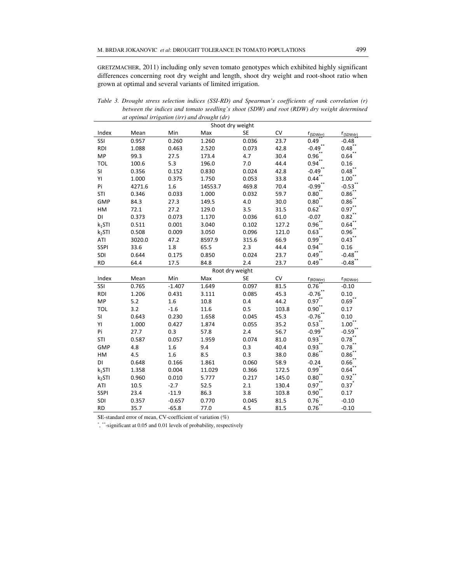GRETZMACHER, 2011) including only seven tomato genotypes which exhibited highly significant differences concerning root dry weight and length, shoot dry weight and root-shoot ratio when grown at optimal and several variants of limited irrigation.

|                    | at optimal irrigation (irr) and drought (dr) |          |         |                 |           |                     |                      |  |
|--------------------|----------------------------------------------|----------|---------|-----------------|-----------|---------------------|----------------------|--|
| Shoot dry weight   |                                              |          |         |                 |           |                     |                      |  |
| Index              | Mean                                         | Min      | Max     | <b>SE</b>       | <b>CV</b> | $r_{(SDWirr)}$      | r <sub>(SDWdr)</sub> |  |
| SSI                | 0.957                                        | 0.260    | 1.260   | 0.036           | 23.7      | 0.49                | $-0.48$              |  |
| <b>RDI</b>         | 1.088                                        | 0.463    | 2.520   | 0.073           | 42.8      | $-0.49$ *           | $0.48$ **            |  |
| <b>MP</b>          | 99.3                                         | 27.5     | 173.4   | 4.7             | 30.4      | $0.96^{*}$          | 0.64                 |  |
| <b>TOL</b>         | 100.6                                        | 5.3      | 196.0   | 7.0             | 44.4      | 0.94                | 0.16                 |  |
| SI                 | 0.356                                        | 0.152    | 0.830   | 0.024           | 42.8      | $-0.49$             | 0.48                 |  |
| YI                 | 1.000                                        | 0.375    | 1.750   | 0.053           | 33.8      | 0.44                | 1.00                 |  |
| Pi                 | 4271.6                                       | 1.6      | 14553.7 | 469.8           | 70.4      | $-0.99$ **          | $-0.53$              |  |
| STI                | 0.346                                        | 0.033    | 1.000   | 0.032           | 59.7      | $0.80$ **           | 0.86                 |  |
| GMP                | 84.3                                         | 27.3     | 149.5   | 4.0             | 30.0      | $0.80^{**}$         | 0.86                 |  |
| HM                 | 72.1                                         | 27.2     | 129.0   | 3.5             | 31.5      | $0.62$ **           | 0.97                 |  |
| DI                 | 0.373                                        | 0.073    | 1.170   | 0.036           | 61.0      | $-0.07$             | 0.82                 |  |
| $k_1$ STI          | 0.511                                        | 0.001    | 3.040   | 0.102           | 127.2     | $0.96$ **           | 0.64                 |  |
| k <sub>2</sub> STI | 0.508                                        | 0.009    | 3.050   | 0.096           | 121.0     | $0.63$ **           | 0.96                 |  |
| ATI                | 3020.0                                       | 47.2     | 8597.9  | 315.6           | 66.9      | $0.99$ **           | 0.43                 |  |
| <b>SSPI</b>        | 33.6                                         | 1.8      | 65.5    | 2.3             | 44.4      | 0.94                | 0.16                 |  |
| SDI                | 0.644                                        | 0.175    | 0.850   | 0.024           | 23.7      | $0.49$ **           | $-0.48$ <sup>*</sup> |  |
| <b>RD</b>          | 64.4                                         | 17.5     | 84.8    | 2.4             | 23.7      | $0.49$ **           | $-0.48$              |  |
|                    |                                              |          |         | Root dry weight |           |                     |                      |  |
| Index              | Mean                                         | Min      | Max     | <b>SE</b>       | CV        | $r_{(RDWirr)}$      | $r_{(RDWdr)}$        |  |
| SSI                | 0.765                                        | $-1.407$ | 1.649   | 0.097           | 81.5      | 0.76                | $-0.10$              |  |
| <b>RDI</b>         | 1.206                                        | 0.431    | 3.111   | 0.085           | 45.3      | $-0.76$ **          | 0.10                 |  |
| <b>MP</b>          | 5.2                                          | 1.6      | 10.8    | 0.4             | 44.2      | $0.97$ **           | $0.69$ **            |  |
| TOL                | 3.2                                          | $-1.6$   | 11.6    | 0.5             | 103.8     | $0.90$ **           | 0.17                 |  |
| SI                 | 0.643                                        | 0.230    | 1.658   | 0.045           | 45.3      | $-0.76$             | 0.10                 |  |
| YI                 | 1.000                                        | 0.427    | 1.874   | 0.055           | 35.2      | 0.53                | $1.00^{**}$          |  |
| Pi                 | 27.7                                         | 0.3      | 57.8    | $2.4$           | 56.7      | $-0.99$             | $-0.59$              |  |
| STI                | 0.587                                        | 0.057    | 1.959   | 0.074           | 81.0      | 0.93                | 0.78                 |  |
| GMP                | 4.8                                          | 1.6      | 9.4     | 0.3             | 40.4      | $0.93***$           | 0.78                 |  |
| HM                 | 4.5                                          | 1.6      | 8.5     | 0.3             | 38.0      | $0.86^{**}$         | 0.86                 |  |
| DI                 | 0.648                                        | 0.166    | 1.861   | 0.060           | 58.9      | $-0.24$             | 0.66                 |  |
| $k_1$ STI          | 1.358                                        | 0.004    | 11.029  | 0.366           | 172.5     | $0.99$ <sup>*</sup> | 0.64                 |  |
| k <sub>2</sub> STI | 0.960                                        | 0.010    | 5.777   | 0.217           | 145.0     | $0.80^{**}$         | 0.92                 |  |
| ATI                | 10.5                                         | $-2.7$   | 52.5    | 2.1             | 130.4     | $0.97$ **           | 0.37                 |  |
| <b>SSPI</b>        | 23.4                                         | $-11.9$  | 86.3    | 3.8             | 103.8     | 0.90                | 0.17                 |  |
| SDI                | 0.357                                        | $-0.657$ | 0.770   | 0.045           | 81.5      | 0.76                | $-0.10$              |  |
| <b>RD</b>          | 35.7                                         | $-65.8$  | 77.0    | 4.5             | 81.5      | $0.76$ **           | $-0.10$              |  |

*Table 3. Drought stress selection indices (SSI-RD) and Spearman's coefficients of rank correlation (r) between the indices and tomato seedling's shoot (SDW) and root (RDW) dry weight determined* 

SE-standard error of mean, CV-coefficient of variation (%)

\*, \*\*-significant at 0.05 and 0.01 levels of probability, respectively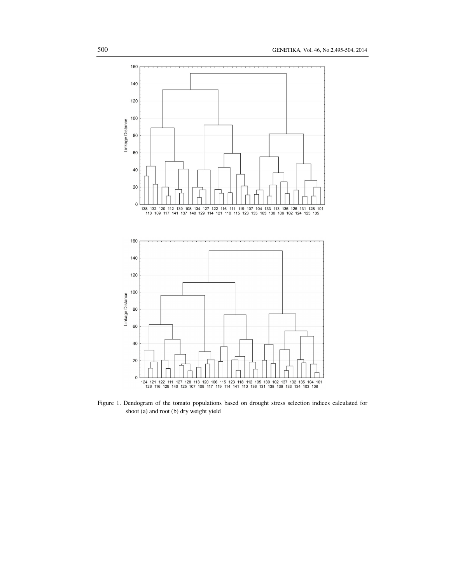

Figure 1. Dendogram of the tomato populations based on drought stress selection indices calculated for shoot (a) and root (b) dry weight yield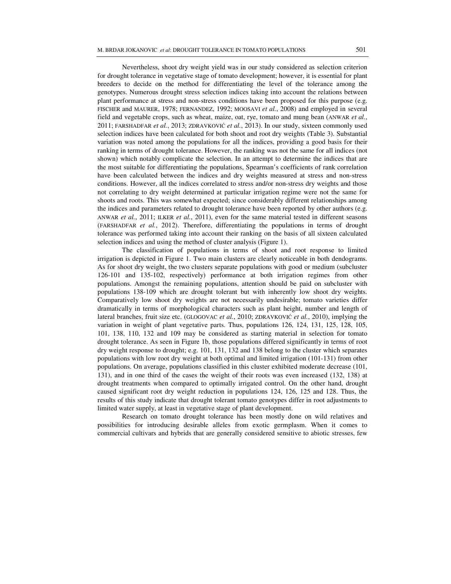Nevertheless, shoot dry weight yield was in our study considered as selection criterion for drought tolerance in vegetative stage of tomato development; however, it is essential for plant breeders to decide on the method for differentiating the level of the tolerance among the genotypes. Numerous drought stress selection indices taking into account the relations between plant performance at stress and non-stress conditions have been proposed for this purpose (e.g. FISCHER and MAURER, 1978; FERNANDEZ, 1992; MOOSAVI *et al.*, 2008) and employed in several field and vegetable crops, such as wheat, maize, oat, rye, tomato and mung bean (ANWAR *et al.*, 2011; FARSHADFAR *et al.*, 2013; ZDRAVKOVIĆ *et al.*, 2013). In our study, sixteen commonly used selection indices have been calculated for both shoot and root dry weights (Table 3). Substantial variation was noted among the populations for all the indices, providing a good basis for their ranking in terms of drought tolerance. However, the ranking was not the same for all indices (not shown) which notably complicate the selection. In an attempt to determine the indices that are the most suitable for differentiating the populations, Spearman's coefficients of rank correlation have been calculated between the indices and dry weights measured at stress and non-stress conditions. However, all the indices correlated to stress and/or non-stress dry weights and those not correlating to dry weight determined at particular irrigation regime were not the same for shoots and roots. This was somewhat expected; since considerably different relationships among the indices and parameters related to drought tolerance have been reported by other authors (e.g. ANWAR *et al.*, 2011; ILKER *et al.*, 2011), even for the same material tested in different seasons (FARSHADFAR *et al.*, 2012). Therefore, differentiating the populations in terms of drought tolerance was performed taking into account their ranking on the basis of all sixteen calculated selection indices and using the method of cluster analysis (Figure 1).

The classification of populations in terms of shoot and root response to limited irrigation is depicted in Figure 1. Two main clusters are clearly noticeable in both dendograms. As for shoot dry weight, the two clusters separate populations with good or medium (subcluster 126-101 and 135-102, respectively) performance at both irrigation regimes from other populations. Amongst the remaining populations, attention should be paid on subcluster with populations 138-109 which are drought tolerant but with inherently low shoot dry weights. Comparatively low shoot dry weights are not necessarily undesirable; tomato varieties differ dramatically in terms of morphological characters such as plant height, number and length of lateral branches, fruit size etc. (GLOGOVAC *et al.*, 2010; ZDRAVKOVIĆ *et al.*, 2010), implying the variation in weight of plant vegetative parts. Thus, populations 126, 124, 131, 125, 128, 105, 101, 138, 110, 132 and 109 may be considered as starting material in selection for tomato drought tolerance. As seen in Figure 1b, those populations differed significantly in terms of root dry weight response to drought; e.g. 101, 131, 132 and 138 belong to the cluster which separates populations with low root dry weight at both optimal and limited irrigation (101-131) from other populations. On average, populations classified in this cluster exhibited moderate decrease (101, 131), and in one third of the cases the weight of their roots was even increased (132, 138) at drought treatments when compared to optimally irrigated control. On the other hand, drought caused significant root dry weight reduction in populations 124, 126, 125 and 128. Thus, the results of this study indicate that drought tolerant tomato genotypes differ in root adjustments to limited water supply, at least in vegetative stage of plant development.

Research on tomato drought tolerance has been mostly done on wild relatives and possibilities for introducing desirable alleles from exotic germplasm. When it comes to commercial cultivars and hybrids that are generally considered sensitive to abiotic stresses, few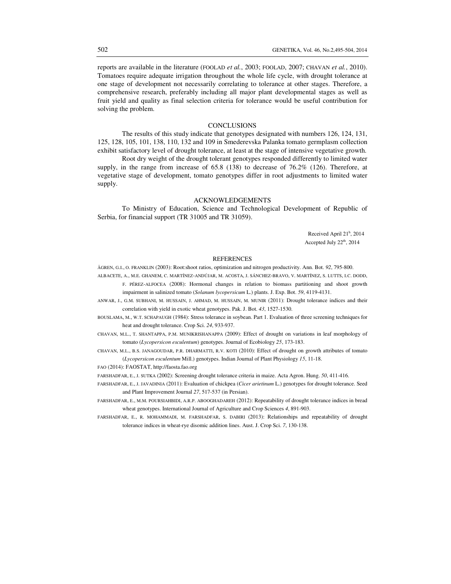reports are available in the literature (FOOLAD *et al.*, 2003; FOOLAD, 2007; CHAVAN *et al.*, 2010). Tomatoes require adequate irrigation throughout the whole life cycle, with drought tolerance at one stage of development not necessarily correlating to tolerance at other stages. Therefore, a comprehensive research, preferably including all major plant developmental stages as well as fruit yield and quality as final selection criteria for tolerance would be useful contribution for solving the problem.

### **CONCLUSIONS**

The results of this study indicate that genotypes designated with numbers 126, 124, 131, 125, 128, 105, 101, 138, 110, 132 and 109 in Smederevska Palanka tomato germplasm collection exhibit satisfactory level of drought tolerance, at least at the stage of intensive vegetative growth.

Root dry weight of the drought tolerant genotypes responded differently to limited water supply, in the range from increase of 65.8 (138) to decrease of 76.2% (126). Therefore, at vegetative stage of development, tomato genotypes differ in root adjustments to limited water supply.

#### ACKNOWLEDGEMENTS

To Ministry of Education, Science and Technological Development of Republic of Serbia, for financial support (TR 31005 and TR 31059).

Received April 21<sup>h</sup>, 2014 Accepted July 22<sup>th</sup>, 2014

### REFERENCES

ÅGREN, G.I., O. FRANKLIN (2003): Root:shoot ratios, optimization and nitrogen productivity. Ann. Bot. *92*, 795-800.

- ALBACETE, A., M.E. GHANEM, C. MARTÍNEZ-ANDÚJAR, M. ACOSTA, J. SÁNCHEZ-BRAVO, V. MARTÍNEZ, S. LUTTS, I.C. DODD, F. PÉREZ-ALFOCEA (2008): Hormonal changes in relation to biomass partitioning and shoot growth impairment in salinized tomato (*Solanum lycopersicum* L.) plants. J. Exp. Bot. *59*, 4119-4131.
- ANWAR, J., G.M. SUBHANI, M. HUSSAIN, J. AHMAD, M. HUSSAIN, M. MUNIR (2011): Drought tolerance indices and their correlation with yield in exotic wheat genotypes. Pak. J. Bot. *43*, 1527-1530.
- BOUSLAMA, M., W.T. SCHAPAUGH (1984): Stress tolerance in soybean. Part 1. Evaluation of three screening techniques for heat and drought tolerance. Crop Sci. *24*, 933-937.

CHAVAN, M.L., T. SHANTAPPA, P.M. MUNIKRISHANAPPA (2009): Effect of drought on variations in leaf morphology of tomato (*Lycopersicon esculentum*) genotypes. Journal of Ecobiology *25*, 173-183.

CHAVAN, M.L., B.S. JANAGOUDAR, P.R. DHARMATTI, R.V. KOTI (2010): Effect of drought on growth attributes of tomato (*Lycopersicon esculentum* Mill.) genotypes. Indian Journal of Plant Physiology *15*, 11-18.

FAO (2014): FAOSTAT, http://faosta.fao.org

FARSHADFAR, E., J. SUTKA (2002): Screening drought tolerance criteria in maize. Acta Agron. Hung. *50*, 411-416.

FARSHADFAR, E., J. JAVADINIA (2011): Evaluation of chickpea (*Cicer arietinum* L.) genotypes for drought tolerance. Seed and Plant Improvement Journal *27*, 517-537 (in Persian).

FARSHADFAR, E., M.M. POURSIAHBIDI, A.R.P. ABOOGHADAREH (2012): Repeatability of drought tolerance indices in bread wheat genotypes. International Journal of Agriculture and Crop Sciences *4*, 891-903.

FARSHADFAR, E., R. MOHAMMADI, M. FARSHADFAR, S. DABIRI (2013): Relationships and repeatability of drought tolerance indices in wheat-rye disomic addition lines. Aust. J. Crop Sci. *7*, 130-138.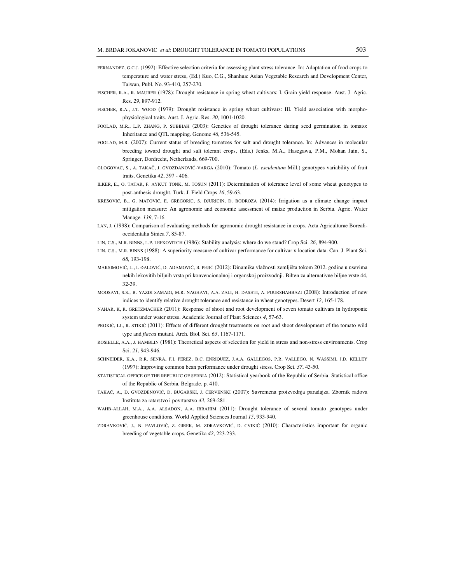- FERNANDEZ, G.C.J. (1992): Effective selection criteria for assessing plant stress tolerance. In: Adaptation of food crops to temperature and water stress, (Ed.) Kuo, C.G., Shanhua: Asian Vegetable Research and Development Center, Taiwan, Publ. No. 93-410, 257-270.
- FISCHER, R.A., R. MAURER (1978): Drought resistance in spring wheat cultivars: I. Grain yield response. Aust. J. Agric. Res. *29*, 897-912.
- FISCHER, R.A., J.T. WOOD (1979): Drought resistance in spring wheat cultivars: III. Yield association with morphophysiological traits. Aust. J. Agric. Res. *30*, 1001-1020.
- FOOLAD, M.R., L.P. ZHANG, P. SUBBIAH (2003): Genetics of drought tolerance during seed germination in tomato: Inheritance and QTL mapping. Genome *46*, 536-545.
- FOOLAD, M.R. (2007): Current status of breeding tomatoes for salt and drought tolerance. In: Advances in molecular breeding toward drought and salt tolerant crops, (Eds.) Jenks, M.A., Hasegawa, P.M., Mohan Jain, S., Springer, Dordrecht, Netherlands, 669-700.
- GLOGOVAC, S., A. TAKAČ, J. GVOZDANOVIĆ-VARGA (2010): Tomato (*L. esculentum* Mill.) genotypes variability of fruit traits. Genetika *42*, 397 - 406.
- ILKER, E., O. TATAR, F. AYKUT TONK, M. TOSUN (2011): Determination of tolerance level of some wheat genotypes to post-anthesis drought. Turk. J. Field Crops *16*, 59-63.
- KRESOVIC, B., G. MATOVIC, E. GREGORIC, S. DJURICIN, D. BODROZA (2014): Irrigation as a climate change impact mitigation measure: An agronomic and economic assessment of maize production in Serbia. Agric. Water Manage. *139*, 7-16.
- LAN, J. (1998): Comparison of evaluating methods for agronomic drought resistance in crops. Acta Agriculturae Borealioccidentalia Sinica *7*, 85-87.
- LIN, C.S., M.R. BINNS, L.P. LEFKOVITCH (1986): Stability analysis: where do we stand? Crop Sci. *26*, 894-900.
- LIN, C.S., M.R. BINNS (1988): A superiority measure of cultivar performance for cultivar x location data. Can. J. Plant Sci. *68*, 193-198.
- MAKSIMOVIĆ, L., I. ĐALOVIĆ, D. ADAMOVIĆ, B. PEJIĆ (2012): Dinamika vlažnosti zemljišta tokom 2012. godine u usevima nekih lekovitih biljnih vrsta pri konvencionalnoj i organskoj proizvodnji. Bilten za alternativne biljne vrste 44, 32-39.
- MOOSAVI, S.S., B. YAZDI SAMADI, M.R. NAGHAVI, A.A. ZALI, H. DASHTI, A. POURSHAHBAZI (2008): Introduction of new indices to identify relative drought tolerance and resistance in wheat genotypes. Desert *12*, 165-178.
- NAHAR, K, R. GRETZMACHER (2011): Response of shoot and root development of seven tomato cultivars in hydroponic system under water stress. Academic Journal of Plant Sciences *4*, 57-63.
- PROKIĆ, LJ., R. STIKIĆ (2011): Effects of different drought treatments on root and shoot development of the tomato wild type and *flacca* mutant. Arch. Biol. Sci. *63*, 1167-1171.
- ROSIELLE, A.A., J. HAMBLIN (1981): Theoretical aspects of selection for yield in stress and non-stress environments. Crop Sci. *21*, 943-946.
- SCHNEIDER, K.A., R.R. SENRA, F.I. PEREZ, B.C. ENRIQUEZ, J.A.A. GALLEGOS, P.R. VALLEGO, N. WASSIMI, J.D. KELLEY (1997): Improving common bean performance under drought stress. Crop Sci. *37*, 43-50.
- STATISTICAL OFFICE OF THE REPUBLIC OF SERBIA (2012): Statistical yearbook of the Republic of Serbia. Statistical office of the Republic of Serbia, Belgrade, p. 410.
- TAKAČ, A., Đ. GVOZDENOVIĆ, D. BUGARSKI, J. ČERVENSKI (2007): Savremena proizvodnja paradajza. Zbornik radova Instituta za ratarstvo i povrtarstvo *43*, 269-281.
- WAHB-ALLAH, M.A., A.A. ALSADON, A.A. IBRAHIM (2011): Drought tolerance of several tomato genotypes under greenhouse conditions. World Applied Sciences Journal *15*, 933-940.
- ZDRAVKOVIĆ, J., N. PAVLOVIĆ, Z. GIREK, M. ZDRAVKOVIĆ, D. CVIKIĆ (2010): Characteristics important for organic breeding of vegetable crops. Genetika *42*, 223-233.